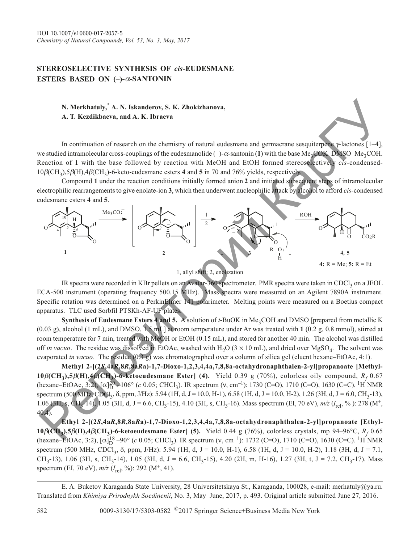## **STEREOSELECTIVE SYNTHESIS OF** *cis***-EUDESMANE ESTERS BASED ON (-)-** $\alpha$ **-SANTONIN**

## **N. Merkhatuly,\* A. N. Iskanderov, S. K. Zhokizhanova, A. T. Kezdikbaeva, and A. K. Ibraeva**

In continuation of research on the chemistry of natural eudesmane and germacrane sesquiterpene  $\gamma$ -lactones [1–4], we studied intramolecular cross-couplings of the eudesmanolide  $(-)$ - $\alpha$ -santonin (1) with the base Me<sub>3</sub>COK–DMSO–Me<sub>3</sub>COH. Reaction of **1** with the base followed by reaction with MeOH and EtOH formed stereoselectively *cis*-condensed- $10\beta\text{(CH}_3)$ ,5 $\beta\text{(H)}$ ,4 $\beta\text{(CH}_3)$ -6-keto-eudesmane esters **4** and **5** in 70 and 76% yields, respectively.

Compound **1** under the reaction conditions initially formed anion **2** and initiated subsequent steps of intramolecular electrophilic rearrangements to give enolate-ion **3**, which then underwent nucleophilic attack by alcohol to afford *cis*-condensed eudesmane esters **4** and **5**.



1, allyl shift; 2, enolization

IR spectra were recorded in KBr pellets on an Avatar-360 spectrometer. PMR spectra were taken in CDCl<sub>3</sub> on a JEOL ECA-500 instrument (operating frequency 500.15 MHz). Mass spectra were measured on an Agilent 7890A instrument. Specific rotation was determined on a PerkinElmer 141 polarimeter. Melting points were measured on a Boetius compact apparatus. TLC used Sorbfil PTSKh-AF-UF plates.

**Synthesis of Eudesmane Esters 4 and 5.** A solution of *t*-BuOK in Me<sub>3</sub>COH and DMSO [prepared from metallic K (0.03 g), alcohol (1 mL), and DMSO, 1.5 mL] at room temperature under Ar was treated with **1** (0.2 g, 0.8 mmol), stirred at room temperature for 7 min, treated with MeOH or EtOH (0.15 mL), and stored for another 40 min. The alcohol was distilled off *in vacuo*. The residue was dissolved in EtOAc, washed with  $H_2O(3 \times 10 \text{ mL})$ , and dried over MgSO<sub>4</sub>. The solvent was evaporated *in vacuo*. The residue (0.3 g) was chromatographed over a column of silica gel (eluent hexane–EtOAc, 4:1).

**Methyl 2-[(2***S***,4a***R***,8***R***,8a***R***a)-1,7-Dioxo-1,2,3,4,4a,7,8,8a-octahydronaphthalen-2-yl]propanoate [Methyl-10** $\beta$ (CH<sub>3</sub>),5 $\beta$ (H),4 $\beta$ (CH<sub>3</sub>)-6-ketoeudesmane Ester] (4). Yield 0.39 g (70%), colorless oily compound,  $R_f$  0.67 (hexane–EtOAc, 3:2),  $[\alpha]_D^{20}$ –106° (*c* 0.05; CHCl<sub>3</sub>). IR spectrum (v, cm<sup>-1</sup>): 1730 (C=O), 1710 (C=O), 1630 (C=C). <sup>1</sup>H NMR spectrum (500 MHz, CDCl<sub>3</sub>,  $\delta$ , ppm, J/Hz): 5.94 (1H, d, J = 10.0, H-1), 6.58 (1H, d, J = 10.0, H-2), 1.26 (3H, d, J = 6.0, CH<sub>3</sub>-13), 1.06 (3H, s, CH<sub>3</sub>-14), 1.05 (3H, d, J = 6.6, CH<sub>3</sub>-15), 4.10 (3H, s, CH<sub>3</sub>-16). Mass spectrum (EI, 70 eV),  $m/z$  ( $I_{rel}$ , %): 278 (M<sup>+</sup>, 40.4).

**Ethyl 2-[(2***S***,4a***R***,8***R***,8a***R***a)-1,7-Dioxo-1,2,3,4,4a,7,8,8a-octahydronaphthalen-2-yl]propanoate [Ethyl-10β**(CH<sub>3</sub>),5**β**(H),4**β**(CH<sub>3</sub>)-6-ketoeudesmane Ester] (5). Yield 0.44 g (76%), colorless crystals, mp 94–96°C, *R<sub>f</sub>* 0.65 (hexane–EtOAc, 3:2),  $[\alpha]_D^{18}$ –90° (*c* 0.05; CHCl<sub>3</sub>). IR spectrum (v, cm<sup>-1</sup>): 1732 (C=O), 1710 (C=O), 1630 (C=C). <sup>1</sup>H NMR spectrum (500 MHz, CDCl<sub>3</sub>,  $\delta$ , ppm, J/Hz): 5.94 (1H, d, J = 10.0, H-1), 6.58 (1H, d, J = 10.0, H-2), 1.18 (3H, d, J = 7.1,  $CH_3$ -13), 1.06 (3H, s, CH<sub>3</sub>-14), 1.05 (3H, d, J = 6.6, CH<sub>3</sub>-15), 4.20 (2H, m, H-16), 1.27 (3H, t, J = 7.2, CH<sub>3</sub>-17). Mass spectrum (EI, 70 eV),  $m/z$  ( $I_{rel}$ , %): 292 (M<sup>+</sup>, 41).

E. A. Buketov Karaganda State University, 28 Universitetskaya St., Karaganda, 100028, e-mail: merhatuly@ya.ru. Translated from *Khimiya Prirodnykh Soedinenii*, No. 3, May–June, 2017, p. 493. Original article submitted June 27, 2016.